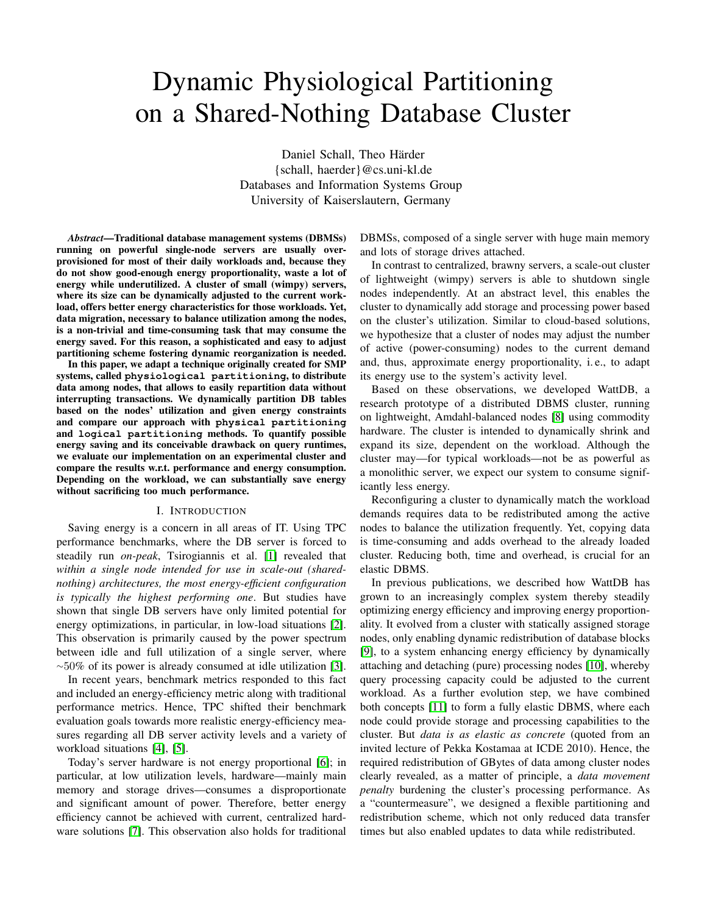# Dynamic Physiological Partitioning on a Shared-Nothing Database Cluster

Daniel Schall, Theo Härder {schall, haerder}@cs.uni-kl.de Databases and Information Systems Group University of Kaiserslautern, Germany

*Abstract*—Traditional database management systems (DBMSs) running on powerful single-node servers are usually overprovisioned for most of their daily workloads and, because they do not show good-enough energy proportionality, waste a lot of energy while underutilized. A cluster of small (wimpy) servers, where its size can be dynamically adjusted to the current workload, offers better energy characteristics for those workloads. Yet, data migration, necessary to balance utilization among the nodes, is a non-trivial and time-consuming task that may consume the energy saved. For this reason, a sophisticated and easy to adjust partitioning scheme fostering dynamic reorganization is needed.

In this paper, we adapt a technique originally created for SMP systems, called **physiological partitioning**, to distribute data among nodes, that allows to easily repartition data without interrupting transactions. We dynamically partition DB tables based on the nodes' utilization and given energy constraints and compare our approach with **physical partitioning** and **logical partitioning** methods. To quantify possible energy saving and its conceivable drawback on query runtimes, we evaluate our implementation on an experimental cluster and compare the results w.r.t. performance and energy consumption. Depending on the workload, we can substantially save energy without sacrificing too much performance.

#### I. INTRODUCTION

<span id="page-0-0"></span>Saving energy is a concern in all areas of IT. Using TPC performance benchmarks, where the DB server is forced to steadily run *on-peak*, Tsirogiannis et al. [\[1\]](#page-11-0) revealed that *within a single node intended for use in scale-out (sharednothing) architectures, the most energy-efficient configuration is typically the highest performing one*. But studies have shown that single DB servers have only limited potential for energy optimizations, in particular, in low-load situations [\[2\]](#page-11-1). This observation is primarily caused by the power spectrum between idle and full utilization of a single server, where  $~\sim$ 50% of its power is already consumed at idle utilization [\[3\]](#page-11-2).

In recent years, benchmark metrics responded to this fact and included an energy-efficiency metric along with traditional performance metrics. Hence, TPC shifted their benchmark evaluation goals towards more realistic energy-efficiency measures regarding all DB server activity levels and a variety of workload situations [\[4\]](#page-11-3), [\[5\]](#page-11-4).

Today's server hardware is not energy proportional [\[6\]](#page-11-5); in particular, at low utilization levels, hardware—mainly main memory and storage drives—consumes a disproportionate and significant amount of power. Therefore, better energy efficiency cannot be achieved with current, centralized hardware solutions [\[7\]](#page-11-6). This observation also holds for traditional DBMSs, composed of a single server with huge main memory and lots of storage drives attached.

In contrast to centralized, brawny servers, a scale-out cluster of lightweight (wimpy) servers is able to shutdown single nodes independently. At an abstract level, this enables the cluster to dynamically add storage and processing power based on the cluster's utilization. Similar to cloud-based solutions, we hypothesize that a cluster of nodes may adjust the number of active (power-consuming) nodes to the current demand and, thus, approximate energy proportionality, i. e., to adapt its energy use to the system's activity level.

Based on these observations, we developed WattDB, a research prototype of a distributed DBMS cluster, running on lightweight, Amdahl-balanced nodes [\[8\]](#page-11-7) using commodity hardware. The cluster is intended to dynamically shrink and expand its size, dependent on the workload. Although the cluster may—for typical workloads—not be as powerful as a monolithic server, we expect our system to consume significantly less energy.

Reconfiguring a cluster to dynamically match the workload demands requires data to be redistributed among the active nodes to balance the utilization frequently. Yet, copying data is time-consuming and adds overhead to the already loaded cluster. Reducing both, time and overhead, is crucial for an elastic DBMS.

In previous publications, we described how WattDB has grown to an increasingly complex system thereby steadily optimizing energy efficiency and improving energy proportionality. It evolved from a cluster with statically assigned storage nodes, only enabling dynamic redistribution of database blocks [\[9\]](#page-11-8), to a system enhancing energy efficiency by dynamically attaching and detaching (pure) processing nodes [\[10\]](#page-11-9), whereby query processing capacity could be adjusted to the current workload. As a further evolution step, we have combined both concepts [\[11\]](#page-11-10) to form a fully elastic DBMS, where each node could provide storage and processing capabilities to the cluster. But *data is as elastic as concrete* (quoted from an invited lecture of Pekka Kostamaa at ICDE 2010). Hence, the required redistribution of GBytes of data among cluster nodes clearly revealed, as a matter of principle, a *data movement penalty* burdening the cluster's processing performance. As a "countermeasure", we designed a flexible partitioning and redistribution scheme, which not only reduced data transfer times but also enabled updates to data while redistributed.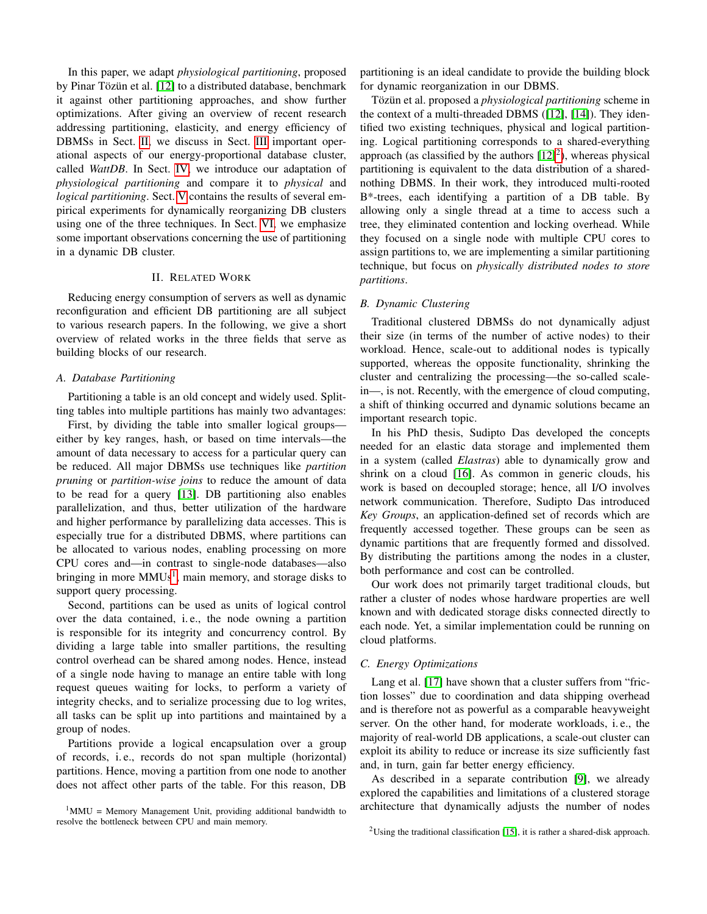In this paper, we adapt *physiological partitioning*, proposed by Pinar Tözün et al. [\[12\]](#page-11-11) to a distributed database, benchmark it against other partitioning approaches, and show further optimizations. After giving an overview of recent research addressing partitioning, elasticity, and energy efficiency of DBMSs in Sect. [II,](#page-1-0) we discuss in Sect. [III](#page-2-0) important operational aspects of our energy-proportional database cluster, called *WattDB*. In Sect. [IV,](#page-5-0) we introduce our adaptation of *physiological partitioning* and compare it to *physical* and *logical partitioning*. Sect. [V](#page-8-0) contains the results of several empirical experiments for dynamically reorganizing DB clusters using one of the three techniques. In Sect. [VI,](#page-11-12) we emphasize some important observations concerning the use of partitioning in a dynamic DB cluster.

## II. RELATED WORK

<span id="page-1-0"></span>Reducing energy consumption of servers as well as dynamic reconfiguration and efficient DB partitioning are all subject to various research papers. In the following, we give a short overview of related works in the three fields that serve as building blocks of our research.

# *A. Database Partitioning*

Partitioning a table is an old concept and widely used. Splitting tables into multiple partitions has mainly two advantages:

First, by dividing the table into smaller logical groups either by key ranges, hash, or based on time intervals—the amount of data necessary to access for a particular query can be reduced. All major DBMSs use techniques like *partition pruning* or *partition-wise joins* to reduce the amount of data to be read for a query [\[13\]](#page-11-13). DB partitioning also enables parallelization, and thus, better utilization of the hardware and higher performance by parallelizing data accesses. This is especially true for a distributed DBMS, where partitions can be allocated to various nodes, enabling processing on more CPU cores and—in contrast to single-node databases—also bringing in more MMUs<sup>[1](#page-1-1)</sup>, main memory, and storage disks to support query processing.

Second, partitions can be used as units of logical control over the data contained, i. e., the node owning a partition is responsible for its integrity and concurrency control. By dividing a large table into smaller partitions, the resulting control overhead can be shared among nodes. Hence, instead of a single node having to manage an entire table with long request queues waiting for locks, to perform a variety of integrity checks, and to serialize processing due to log writes, all tasks can be split up into partitions and maintained by a group of nodes.

Partitions provide a logical encapsulation over a group of records, i. e., records do not span multiple (horizontal) partitions. Hence, moving a partition from one node to another does not affect other parts of the table. For this reason, DB

<span id="page-1-1"></span><sup>1</sup>MMU = Memory Management Unit, providing additional bandwidth to resolve the bottleneck between CPU and main memory.

partitioning is an ideal candidate to provide the building block for dynamic reorganization in our DBMS.

Tözün et al. proposed a *physiological partitioning* scheme in the context of a multi-threaded DBMS ([\[12\]](#page-11-11), [\[14\]](#page-11-14)). They identified two existing techniques, physical and logical partitioning. Logical partitioning corresponds to a shared-everything approach (as classified by the authors  $[12]^2$  $[12]^2$  $[12]^2$ ), whereas physical partitioning is equivalent to the data distribution of a sharednothing DBMS. In their work, they introduced multi-rooted B\*-trees, each identifying a partition of a DB table. By allowing only a single thread at a time to access such a tree, they eliminated contention and locking overhead. While they focused on a single node with multiple CPU cores to assign partitions to, we are implementing a similar partitioning technique, but focus on *physically distributed nodes to store partitions*.

## *B. Dynamic Clustering*

Traditional clustered DBMSs do not dynamically adjust their size (in terms of the number of active nodes) to their workload. Hence, scale-out to additional nodes is typically supported, whereas the opposite functionality, shrinking the cluster and centralizing the processing—the so-called scalein—, is not. Recently, with the emergence of cloud computing, a shift of thinking occurred and dynamic solutions became an important research topic.

In his PhD thesis, Sudipto Das developed the concepts needed for an elastic data storage and implemented them in a system (called *Elastras*) able to dynamically grow and shrink on a cloud [\[16\]](#page-11-15). As common in generic clouds, his work is based on decoupled storage; hence, all I/O involves network communication. Therefore, Sudipto Das introduced *Key Groups*, an application-defined set of records which are frequently accessed together. These groups can be seen as dynamic partitions that are frequently formed and dissolved. By distributing the partitions among the nodes in a cluster, both performance and cost can be controlled.

Our work does not primarily target traditional clouds, but rather a cluster of nodes whose hardware properties are well known and with dedicated storage disks connected directly to each node. Yet, a similar implementation could be running on cloud platforms.

#### *C. Energy Optimizations*

Lang et al. [\[17\]](#page-11-16) have shown that a cluster suffers from "friction losses" due to coordination and data shipping overhead and is therefore not as powerful as a comparable heavyweight server. On the other hand, for moderate workloads, i. e., the majority of real-world DB applications, a scale-out cluster can exploit its ability to reduce or increase its size sufficiently fast and, in turn, gain far better energy efficiency.

As described in a separate contribution [\[9\]](#page-11-8), we already explored the capabilities and limitations of a clustered storage architecture that dynamically adjusts the number of nodes

<span id="page-1-2"></span><sup>&</sup>lt;sup>2</sup>Using the traditional classification [\[15\]](#page-11-17), it is rather a shared-disk approach.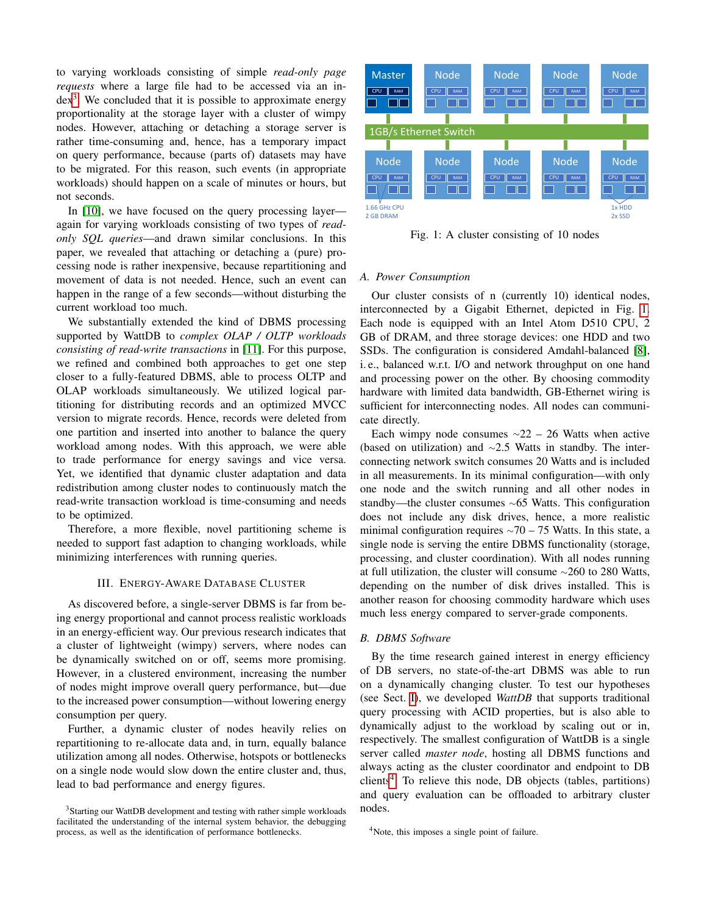to varying workloads consisting of simple *read-only page requests* where a large file had to be accessed via an in- $dex<sup>3</sup>$  $dex<sup>3</sup>$  $dex<sup>3</sup>$ . We concluded that it is possible to approximate energy proportionality at the storage layer with a cluster of wimpy nodes. However, attaching or detaching a storage server is rather time-consuming and, hence, has a temporary impact on query performance, because (parts of) datasets may have to be migrated. For this reason, such events (in appropriate workloads) should happen on a scale of minutes or hours, but not seconds.

In [\[10\]](#page-11-9), we have focused on the query processing layer again for varying workloads consisting of two types of *readonly SQL queries*—and drawn similar conclusions. In this paper, we revealed that attaching or detaching a (pure) processing node is rather inexpensive, because repartitioning and movement of data is not needed. Hence, such an event can happen in the range of a few seconds—without disturbing the current workload too much.

We substantially extended the kind of DBMS processing supported by WattDB to *complex OLAP / OLTP workloads consisting of read-write transactions* in [\[11\]](#page-11-10). For this purpose, we refined and combined both approaches to get one step closer to a fully-featured DBMS, able to process OLTP and OLAP workloads simultaneously. We utilized logical partitioning for distributing records and an optimized MVCC version to migrate records. Hence, records were deleted from one partition and inserted into another to balance the query workload among nodes. With this approach, we were able to trade performance for energy savings and vice versa. Yet, we identified that dynamic cluster adaptation and data redistribution among cluster nodes to continuously match the read-write transaction workload is time-consuming and needs to be optimized.

Therefore, a more flexible, novel partitioning scheme is needed to support fast adaption to changing workloads, while minimizing interferences with running queries.

## III. ENERGY-AWARE DATABASE CLUSTER

<span id="page-2-0"></span>As discovered before, a single-server DBMS is far from being energy proportional and cannot process realistic workloads in an energy-efficient way. Our previous research indicates that a cluster of lightweight (wimpy) servers, where nodes can be dynamically switched on or off, seems more promising. However, in a clustered environment, increasing the number of nodes might improve overall query performance, but—due to the increased power consumption—without lowering energy consumption per query.

Further, a dynamic cluster of nodes heavily relies on repartitioning to re-allocate data and, in turn, equally balance utilization among all nodes. Otherwise, hotspots or bottlenecks on a single node would slow down the entire cluster and, thus, lead to bad performance and energy figures.

<span id="page-2-2"></span>

Fig. 1: A cluster consisting of 10 nodes

# *A. Power Consumption*

Our cluster consists of n (currently 10) identical nodes, interconnected by a Gigabit Ethernet, depicted in Fig. [1.](#page-2-2) Each node is equipped with an Intel Atom D510 CPU, 2 GB of DRAM, and three storage devices: one HDD and two SSDs. The configuration is considered Amdahl-balanced [\[8\]](#page-11-7), i. e., balanced w.r.t. I/O and network throughput on one hand and processing power on the other. By choosing commodity hardware with limited data bandwidth, GB-Ethernet wiring is sufficient for interconnecting nodes. All nodes can communicate directly.

Each wimpy node consumes  $\sim$ 22 – 26 Watts when active (based on utilization) and <sup>∼</sup>2.5 Watts in standby. The interconnecting network switch consumes 20 Watts and is included in all measurements. In its minimal configuration—with only one node and the switch running and all other nodes in standby—the cluster consumes <sup>∼</sup>65 Watts. This configuration does not include any disk drives, hence, a more realistic minimal configuration requires <sup>∼</sup>70 – 75 Watts. In this state, a single node is serving the entire DBMS functionality (storage, processing, and cluster coordination). With all nodes running at full utilization, the cluster will consume <sup>∼</sup>260 to 280 Watts, depending on the number of disk drives installed. This is another reason for choosing commodity hardware which uses much less energy compared to server-grade components.

#### *B. DBMS Software*

By the time research gained interest in energy efficiency of DB servers, no state-of-the-art DBMS was able to run on a dynamically changing cluster. To test our hypotheses (see Sect. [I\)](#page-0-0), we developed *WattDB* that supports traditional query processing with ACID properties, but is also able to dynamically adjust to the workload by scaling out or in, respectively. The smallest configuration of WattDB is a single server called *master node*, hosting all DBMS functions and always acting as the cluster coordinator and endpoint to DB clients<sup>[4](#page-2-3)</sup>. To relieve this node, DB objects (tables, partitions) and query evaluation can be offloaded to arbitrary cluster nodes.

<span id="page-2-1"></span><sup>3</sup>Starting our WattDB development and testing with rather simple workloads facilitated the understanding of the internal system behavior, the debugging process, as well as the identification of performance bottlenecks.

<span id="page-2-3"></span><sup>4</sup>Note, this imposes a single point of failure.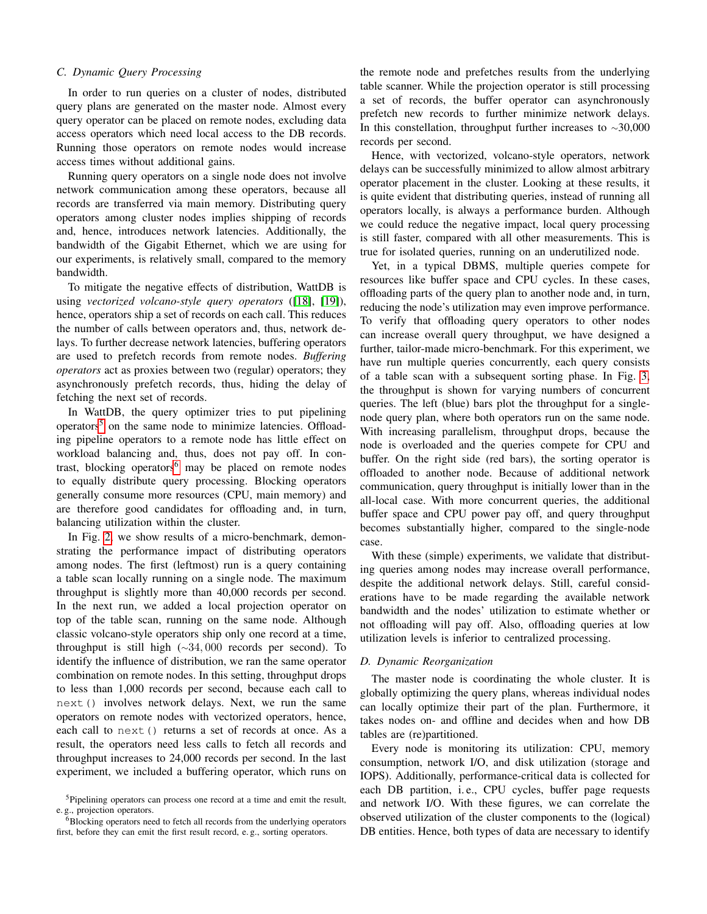## *C. Dynamic Query Processing*

In order to run queries on a cluster of nodes, distributed query plans are generated on the master node. Almost every query operator can be placed on remote nodes, excluding data access operators which need local access to the DB records. Running those operators on remote nodes would increase access times without additional gains.

Running query operators on a single node does not involve network communication among these operators, because all records are transferred via main memory. Distributing query operators among cluster nodes implies shipping of records and, hence, introduces network latencies. Additionally, the bandwidth of the Gigabit Ethernet, which we are using for our experiments, is relatively small, compared to the memory bandwidth.

To mitigate the negative effects of distribution, WattDB is using *vectorized volcano-style query operators* ([\[18\]](#page-11-18), [\[19\]](#page-11-19)), hence, operators ship a set of records on each call. This reduces the number of calls between operators and, thus, network delays. To further decrease network latencies, buffering operators are used to prefetch records from remote nodes. *Buffering operators* act as proxies between two (regular) operators; they asynchronously prefetch records, thus, hiding the delay of fetching the next set of records.

In WattDB, the query optimizer tries to put pipelining operators<sup>[5](#page-3-0)</sup> on the same node to minimize latencies. Offloading pipeline operators to a remote node has little effect on workload balancing and, thus, does not pay off. In con-trast, blocking operators<sup>[6](#page-3-1)</sup> may be placed on remote nodes to equally distribute query processing. Blocking operators generally consume more resources (CPU, main memory) and are therefore good candidates for offloading and, in turn, balancing utilization within the cluster.

In Fig. [2,](#page-4-0) we show results of a micro-benchmark, demonstrating the performance impact of distributing operators among nodes. The first (leftmost) run is a query containing a table scan locally running on a single node. The maximum throughput is slightly more than 40,000 records per second. In the next run, we added a local projection operator on top of the table scan, running on the same node. Although classic volcano-style operators ship only one record at a time, throughput is still high (∼34, 000 records per second). To identify the influence of distribution, we ran the same operator combination on remote nodes. In this setting, throughput drops to less than 1,000 records per second, because each call to next() involves network delays. Next, we run the same operators on remote nodes with vectorized operators, hence, each call to next () returns a set of records at once. As a result, the operators need less calls to fetch all records and throughput increases to 24,000 records per second. In the last experiment, we included a buffering operator, which runs on

the remote node and prefetches results from the underlying table scanner. While the projection operator is still processing a set of records, the buffer operator can asynchronously prefetch new records to further minimize network delays. In this constellation, throughput further increases to ∼30,000 records per second.

Hence, with vectorized, volcano-style operators, network delays can be successfully minimized to allow almost arbitrary operator placement in the cluster. Looking at these results, it is quite evident that distributing queries, instead of running all operators locally, is always a performance burden. Although we could reduce the negative impact, local query processing is still faster, compared with all other measurements. This is true for isolated queries, running on an underutilized node.

Yet, in a typical DBMS, multiple queries compete for resources like buffer space and CPU cycles. In these cases, offloading parts of the query plan to another node and, in turn, reducing the node's utilization may even improve performance. To verify that offloading query operators to other nodes can increase overall query throughput, we have designed a further, tailor-made micro-benchmark. For this experiment, we have run multiple queries concurrently, each query consists of a table scan with a subsequent sorting phase. In Fig. [3,](#page-4-0) the throughput is shown for varying numbers of concurrent queries. The left (blue) bars plot the throughput for a singlenode query plan, where both operators run on the same node. With increasing parallelism, throughput drops, because the node is overloaded and the queries compete for CPU and buffer. On the right side (red bars), the sorting operator is offloaded to another node. Because of additional network communication, query throughput is initially lower than in the all-local case. With more concurrent queries, the additional buffer space and CPU power pay off, and query throughput becomes substantially higher, compared to the single-node case.

With these (simple) experiments, we validate that distributing queries among nodes may increase overall performance, despite the additional network delays. Still, careful considerations have to be made regarding the available network bandwidth and the nodes' utilization to estimate whether or not offloading will pay off. Also, offloading queries at low utilization levels is inferior to centralized processing.

# *D. Dynamic Reorganization*

The master node is coordinating the whole cluster. It is globally optimizing the query plans, whereas individual nodes can locally optimize their part of the plan. Furthermore, it takes nodes on- and offline and decides when and how DB tables are (re)partitioned.

Every node is monitoring its utilization: CPU, memory consumption, network I/O, and disk utilization (storage and IOPS). Additionally, performance-critical data is collected for each DB partition, i. e., CPU cycles, buffer page requests and network I/O. With these figures, we can correlate the observed utilization of the cluster components to the (logical) DB entities. Hence, both types of data are necessary to identify

<span id="page-3-0"></span><sup>5</sup>Pipelining operators can process one record at a time and emit the result, e. g., projection operators.

<span id="page-3-1"></span><sup>&</sup>lt;sup>6</sup>Blocking operators need to fetch all records from the underlying operators first, before they can emit the first result record, e. g., sorting operators.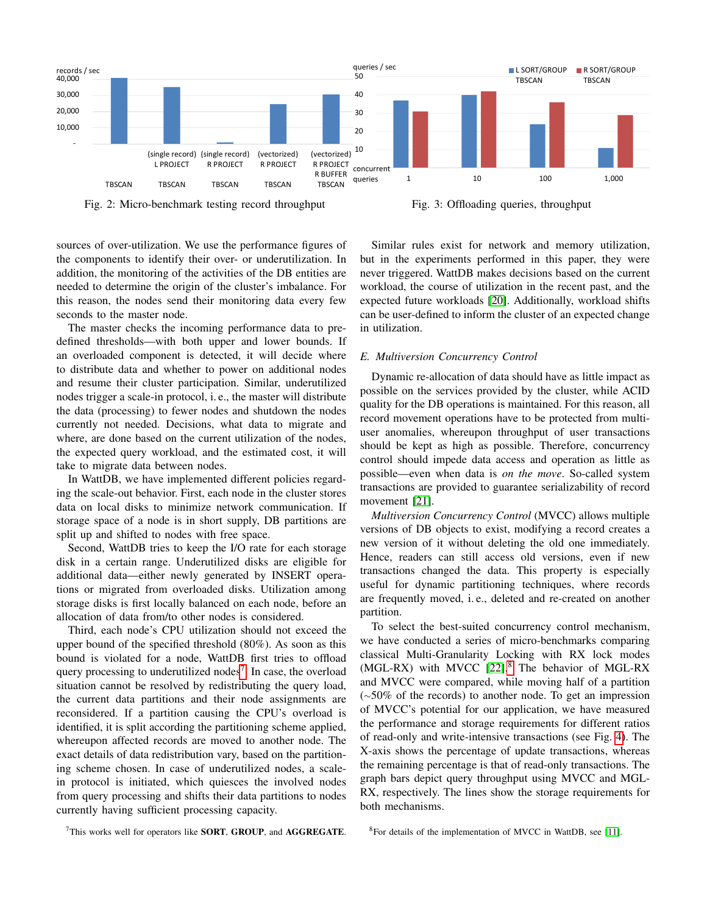<span id="page-4-0"></span>

Fig. 2: Micro-benchmark testing record throughput

Fig. 3: Offloading queries, throughput

sources of over-utilization. We use the performance figures of the components to identify their over- or underutilization. In addition, the monitoring of the activities of the DB entities are needed to determine the origin of the cluster's imbalance. For this reason, the nodes send their monitoring data every few seconds to the master node.

The master checks the incoming performance data to predefined thresholds—with both upper and lower bounds. If an overloaded component is detected, it will decide where to distribute data and whether to power on additional nodes and resume their cluster participation. Similar, underutilized nodes trigger a scale-in protocol, i. e., the master will distribute the data (processing) to fewer nodes and shutdown the nodes currently not needed. Decisions, what data to migrate and where, are done based on the current utilization of the nodes, the expected query workload, and the estimated cost, it will take to migrate data between nodes.

In WattDB, we have implemented different policies regarding the scale-out behavior. First, each node in the cluster stores data on local disks to minimize network communication. If storage space of a node is in short supply, DB partitions are split up and shifted to nodes with free space.

Second, WattDB tries to keep the I/O rate for each storage disk in a certain range. Underutilized disks are eligible for additional data—either newly generated by INSERT operations or migrated from overloaded disks. Utilization among storage disks is first locally balanced on each node, before an allocation of data from/to other nodes is considered.

Third, each node's CPU utilization should not exceed the upper bound of the specified threshold (80%). As soon as this bound is violated for a node, WattDB first tries to offload query processing to underutilized nodes<sup>[7](#page-4-1)</sup>. In case, the overload situation cannot be resolved by redistributing the query load, the current data partitions and their node assignments are reconsidered. If a partition causing the CPU's overload is identified, it is split according the partitioning scheme applied, whereupon affected records are moved to another node. The exact details of data redistribution vary, based on the partitioning scheme chosen. In case of underutilized nodes, a scalein protocol is initiated, which quiesces the involved nodes from query processing and shifts their data partitions to nodes currently having sufficient processing capacity.

<span id="page-4-1"></span><sup>7</sup>This works well for operators like SORT, GROUP, and AGGREGATE.

Similar rules exist for network and memory utilization, but in the experiments performed in this paper, they were never triggered. WattDB makes decisions based on the current workload, the course of utilization in the recent past, and the expected future workloads [\[20\]](#page-11-20). Additionally, workload shifts can be user-defined to inform the cluster of an expected change in utilization.

# *E. Multiversion Concurrency Control*

Dynamic re-allocation of data should have as little impact as possible on the services provided by the cluster, while ACID quality for the DB operations is maintained. For this reason, all record movement operations have to be protected from multiuser anomalies, whereupon throughput of user transactions should be kept as high as possible. Therefore, concurrency control should impede data access and operation as little as possible—even when data is *on the move*. So-called system transactions are provided to guarantee serializability of record movement [\[21\]](#page-11-21).

*Multiversion Concurrency Control* (MVCC) allows multiple versions of DB objects to exist, modifying a record creates a new version of it without deleting the old one immediately. Hence, readers can still access old versions, even if new transactions changed the data. This property is especially useful for dynamic partitioning techniques, where records are frequently moved, i. e., deleted and re-created on another partition.

To select the best-suited concurrency control mechanism, we have conducted a series of micro-benchmarks comparing classical Multi-Granularity Locking with RX lock modes (MGL-RX) with MVCC [\[22\]](#page-11-22).[8](#page-4-2) The behavior of MGL-RX and MVCC were compared, while moving half of a partition (∼50% of the records) to another node. To get an impression of MVCC's potential for our application, we have measured the performance and storage requirements for different ratios of read-only and write-intensive transactions (see Fig. [4\)](#page-5-1). The X-axis shows the percentage of update transactions, whereas the remaining percentage is that of read-only transactions. The graph bars depict query throughput using MVCC and MGL-RX, respectively. The lines show the storage requirements for both mechanisms.

<span id="page-4-2"></span><sup>8</sup>For details of the implementation of MVCC in WattDB, see [\[11\]](#page-11-10).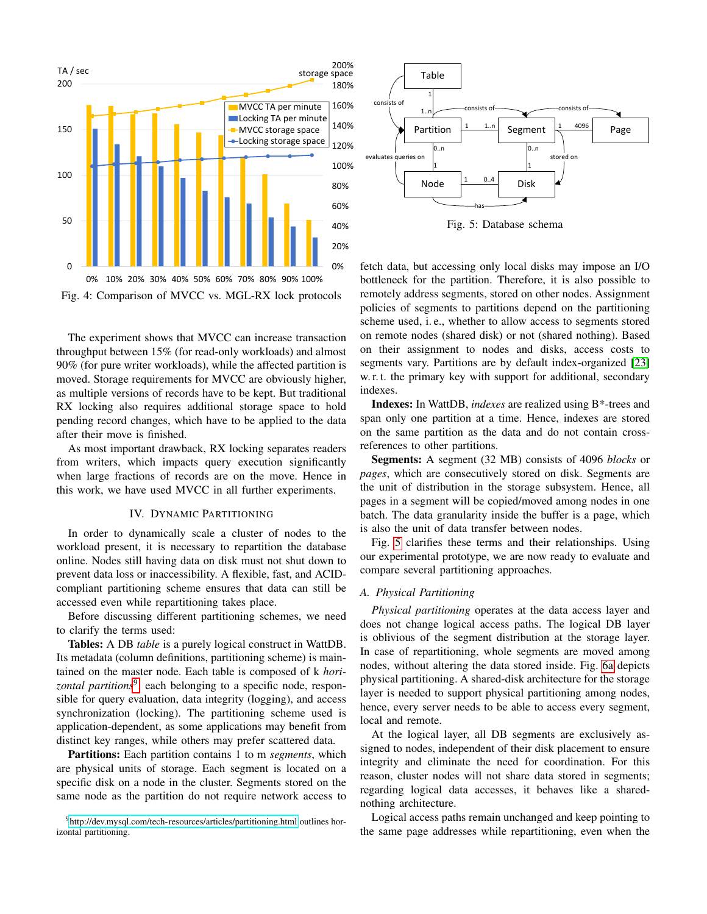<span id="page-5-1"></span>

Fig. 4: Comparison of MVCC vs. MGL-RX lock protocols

The experiment shows that MVCC can increase transaction throughput between 15% (for read-only workloads) and almost 90% (for pure writer workloads), while the affected partition is moved. Storage requirements for MVCC are obviously higher, as multiple versions of records have to be kept. But traditional RX locking also requires additional storage space to hold pending record changes, which have to be applied to the data after their move is finished.

As most important drawback, RX locking separates readers from writers, which impacts query execution significantly when large fractions of records are on the move. Hence in this work, we have used MVCC in all further experiments.

# IV. DYNAMIC PARTITIONING

<span id="page-5-0"></span>In order to dynamically scale a cluster of nodes to the workload present, it is necessary to repartition the database online. Nodes still having data on disk must not shut down to prevent data loss or inaccessibility. A flexible, fast, and ACIDcompliant partitioning scheme ensures that data can still be accessed even while repartitioning takes place.

Before discussing different partitioning schemes, we need to clarify the terms used:

Tables: A DB *table* is a purely logical construct in WattDB. Its metadata (column definitions, partitioning scheme) is maintained on the master node. Each table is composed of k *hori-*zontal partitions<sup>[9](#page-5-2)</sup>, each belonging to a specific node, responsible for query evaluation, data integrity (logging), and access synchronization (locking). The partitioning scheme used is application-dependent, as some applications may benefit from distinct key ranges, while others may prefer scattered data.

Partitions: Each partition contains 1 to m *segments*, which are physical units of storage. Each segment is located on a specific disk on a node in the cluster. Segments stored on the same node as the partition do not require network access to

<span id="page-5-3"></span>

Fig. 5: Database schema

fetch data, but accessing only local disks may impose an I/O bottleneck for the partition. Therefore, it is also possible to remotely address segments, stored on other nodes. Assignment policies of segments to partitions depend on the partitioning scheme used, i. e., whether to allow access to segments stored on remote nodes (shared disk) or not (shared nothing). Based on their assignment to nodes and disks, access costs to segments vary. Partitions are by default index-organized [\[23\]](#page-11-23) w. r. t. the primary key with support for additional, secondary indexes.

Indexes: In WattDB, *indexes* are realized using B\*-trees and span only one partition at a time. Hence, indexes are stored on the same partition as the data and do not contain crossreferences to other partitions.

Segments: A segment (32 MB) consists of 4096 *blocks* or *pages*, which are consecutively stored on disk. Segments are the unit of distribution in the storage subsystem. Hence, all pages in a segment will be copied/moved among nodes in one batch. The data granularity inside the buffer is a page, which is also the unit of data transfer between nodes.

Fig. [5](#page-5-3) clarifies these terms and their relationships. Using our experimental prototype, we are now ready to evaluate and compare several partitioning approaches.

# *A. Physical Partitioning*

*Physical partitioning* operates at the data access layer and does not change logical access paths. The logical DB layer is oblivious of the segment distribution at the storage layer. In case of repartitioning, whole segments are moved among nodes, without altering the data stored inside. Fig. [6a](#page-6-0) depicts physical partitioning. A shared-disk architecture for the storage layer is needed to support physical partitioning among nodes, hence, every server needs to be able to access every segment, local and remote.

At the logical layer, all DB segments are exclusively assigned to nodes, independent of their disk placement to ensure integrity and eliminate the need for coordination. For this reason, cluster nodes will not share data stored in segments; regarding logical data accesses, it behaves like a sharednothing architecture.

Logical access paths remain unchanged and keep pointing to the same page addresses while repartitioning, even when the

<span id="page-5-2"></span><sup>9</sup><http://dev.mysql.com/tech-resources/articles/partitioning.html> outlines horizontal partitioning.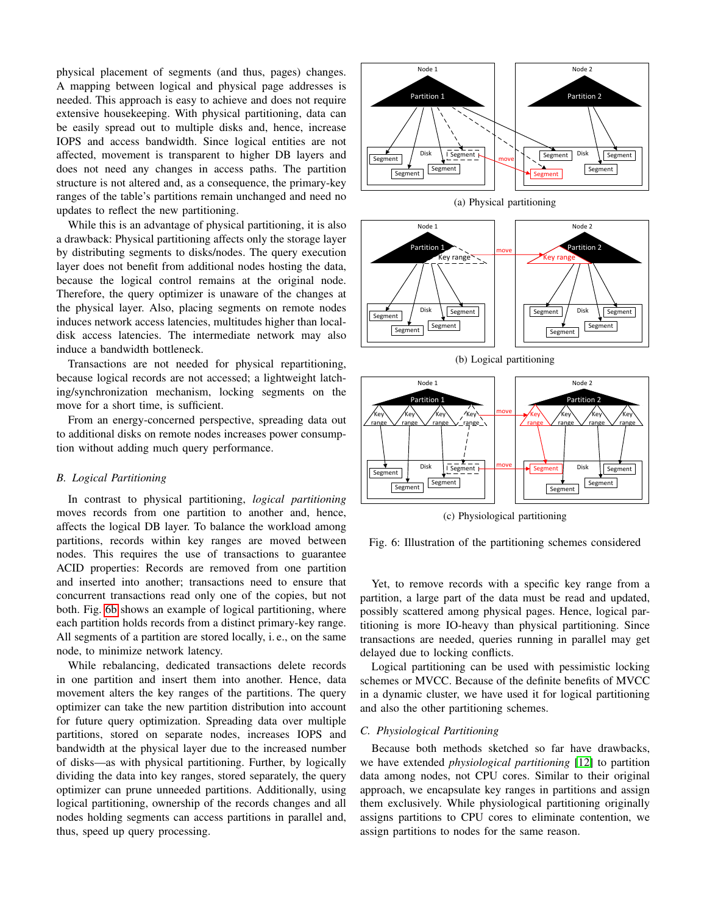physical placement of segments (and thus, pages) changes. A mapping between logical and physical page addresses is needed. This approach is easy to achieve and does not require extensive housekeeping. With physical partitioning, data can be easily spread out to multiple disks and, hence, increase IOPS and access bandwidth. Since logical entities are not affected, movement is transparent to higher DB layers and does not need any changes in access paths. The partition structure is not altered and, as a consequence, the primary-key ranges of the table's partitions remain unchanged and need no updates to reflect the new partitioning.

While this is an advantage of physical partitioning, it is also a drawback: Physical partitioning affects only the storage layer by distributing segments to disks/nodes. The query execution layer does not benefit from additional nodes hosting the data, because the logical control remains at the original node. Therefore, the query optimizer is unaware of the changes at the physical layer. Also, placing segments on remote nodes induces network access latencies, multitudes higher than localdisk access latencies. The intermediate network may also induce a bandwidth bottleneck.

Transactions are not needed for physical repartitioning, because logical records are not accessed; a lightweight latching/synchronization mechanism, locking segments on the move for a short time, is sufficient.

From an energy-concerned perspective, spreading data out to additional disks on remote nodes increases power consumption without adding much query performance.

# *B. Logical Partitioning*

In contrast to physical partitioning, *logical partitioning* moves records from one partition to another and, hence, affects the logical DB layer. To balance the workload among partitions, records within key ranges are moved between nodes. This requires the use of transactions to guarantee ACID properties: Records are removed from one partition and inserted into another; transactions need to ensure that concurrent transactions read only one of the copies, but not both. Fig. [6b](#page-6-0) shows an example of logical partitioning, where each partition holds records from a distinct primary-key range. All segments of a partition are stored locally, i. e., on the same node, to minimize network latency.

While rebalancing, dedicated transactions delete records in one partition and insert them into another. Hence, data movement alters the key ranges of the partitions. The query optimizer can take the new partition distribution into account for future query optimization. Spreading data over multiple partitions, stored on separate nodes, increases IOPS and bandwidth at the physical layer due to the increased number of disks—as with physical partitioning. Further, by logically dividing the data into key ranges, stored separately, the query optimizer can prune unneeded partitions. Additionally, using logical partitioning, ownership of the records changes and all nodes holding segments can access partitions in parallel and, thus, speed up query processing.

<span id="page-6-0"></span>

(a) Physical partitioning



(b) Logical partitioning



(c) Physiological partitioning

Fig. 6: Illustration of the partitioning schemes considered

Yet, to remove records with a specific key range from a partition, a large part of the data must be read and updated, possibly scattered among physical pages. Hence, logical partitioning is more IO-heavy than physical partitioning. Since transactions are needed, queries running in parallel may get delayed due to locking conflicts.

Logical partitioning can be used with pessimistic locking schemes or MVCC. Because of the definite benefits of MVCC in a dynamic cluster, we have used it for logical partitioning and also the other partitioning schemes.

# *C. Physiological Partitioning*

Because both methods sketched so far have drawbacks, we have extended *physiological partitioning* [\[12\]](#page-11-11) to partition data among nodes, not CPU cores. Similar to their original approach, we encapsulate key ranges in partitions and assign them exclusively. While physiological partitioning originally assigns partitions to CPU cores to eliminate contention, we assign partitions to nodes for the same reason.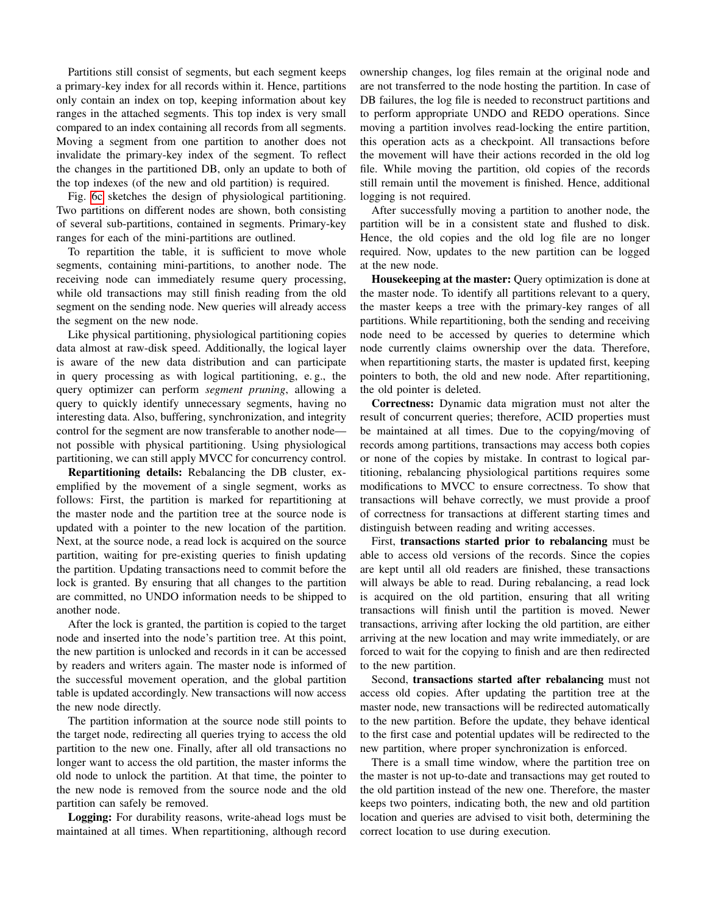Partitions still consist of segments, but each segment keeps a primary-key index for all records within it. Hence, partitions only contain an index on top, keeping information about key ranges in the attached segments. This top index is very small compared to an index containing all records from all segments. Moving a segment from one partition to another does not invalidate the primary-key index of the segment. To reflect the changes in the partitioned DB, only an update to both of the top indexes (of the new and old partition) is required.

Fig. [6c](#page-6-0) sketches the design of physiological partitioning. Two partitions on different nodes are shown, both consisting of several sub-partitions, contained in segments. Primary-key ranges for each of the mini-partitions are outlined.

To repartition the table, it is sufficient to move whole segments, containing mini-partitions, to another node. The receiving node can immediately resume query processing, while old transactions may still finish reading from the old segment on the sending node. New queries will already access the segment on the new node.

Like physical partitioning, physiological partitioning copies data almost at raw-disk speed. Additionally, the logical layer is aware of the new data distribution and can participate in query processing as with logical partitioning, e. g., the query optimizer can perform *segment pruning*, allowing a query to quickly identify unnecessary segments, having no interesting data. Also, buffering, synchronization, and integrity control for the segment are now transferable to another node not possible with physical partitioning. Using physiological partitioning, we can still apply MVCC for concurrency control.

Repartitioning details: Rebalancing the DB cluster, exemplified by the movement of a single segment, works as follows: First, the partition is marked for repartitioning at the master node and the partition tree at the source node is updated with a pointer to the new location of the partition. Next, at the source node, a read lock is acquired on the source partition, waiting for pre-existing queries to finish updating the partition. Updating transactions need to commit before the lock is granted. By ensuring that all changes to the partition are committed, no UNDO information needs to be shipped to another node.

After the lock is granted, the partition is copied to the target node and inserted into the node's partition tree. At this point, the new partition is unlocked and records in it can be accessed by readers and writers again. The master node is informed of the successful movement operation, and the global partition table is updated accordingly. New transactions will now access the new node directly.

The partition information at the source node still points to the target node, redirecting all queries trying to access the old partition to the new one. Finally, after all old transactions no longer want to access the old partition, the master informs the old node to unlock the partition. At that time, the pointer to the new node is removed from the source node and the old partition can safely be removed.

Logging: For durability reasons, write-ahead logs must be maintained at all times. When repartitioning, although record ownership changes, log files remain at the original node and are not transferred to the node hosting the partition. In case of DB failures, the log file is needed to reconstruct partitions and to perform appropriate UNDO and REDO operations. Since moving a partition involves read-locking the entire partition, this operation acts as a checkpoint. All transactions before the movement will have their actions recorded in the old log file. While moving the partition, old copies of the records still remain until the movement is finished. Hence, additional logging is not required.

After successfully moving a partition to another node, the partition will be in a consistent state and flushed to disk. Hence, the old copies and the old log file are no longer required. Now, updates to the new partition can be logged at the new node.

Housekeeping at the master: Query optimization is done at the master node. To identify all partitions relevant to a query, the master keeps a tree with the primary-key ranges of all partitions. While repartitioning, both the sending and receiving node need to be accessed by queries to determine which node currently claims ownership over the data. Therefore, when repartitioning starts, the master is updated first, keeping pointers to both, the old and new node. After repartitioning, the old pointer is deleted.

Correctness: Dynamic data migration must not alter the result of concurrent queries; therefore, ACID properties must be maintained at all times. Due to the copying/moving of records among partitions, transactions may access both copies or none of the copies by mistake. In contrast to logical partitioning, rebalancing physiological partitions requires some modifications to MVCC to ensure correctness. To show that transactions will behave correctly, we must provide a proof of correctness for transactions at different starting times and distinguish between reading and writing accesses.

First, transactions started prior to rebalancing must be able to access old versions of the records. Since the copies are kept until all old readers are finished, these transactions will always be able to read. During rebalancing, a read lock is acquired on the old partition, ensuring that all writing transactions will finish until the partition is moved. Newer transactions, arriving after locking the old partition, are either arriving at the new location and may write immediately, or are forced to wait for the copying to finish and are then redirected to the new partition.

Second, transactions started after rebalancing must not access old copies. After updating the partition tree at the master node, new transactions will be redirected automatically to the new partition. Before the update, they behave identical to the first case and potential updates will be redirected to the new partition, where proper synchronization is enforced.

There is a small time window, where the partition tree on the master is not up-to-date and transactions may get routed to the old partition instead of the new one. Therefore, the master keeps two pointers, indicating both, the new and old partition location and queries are advised to visit both, determining the correct location to use during execution.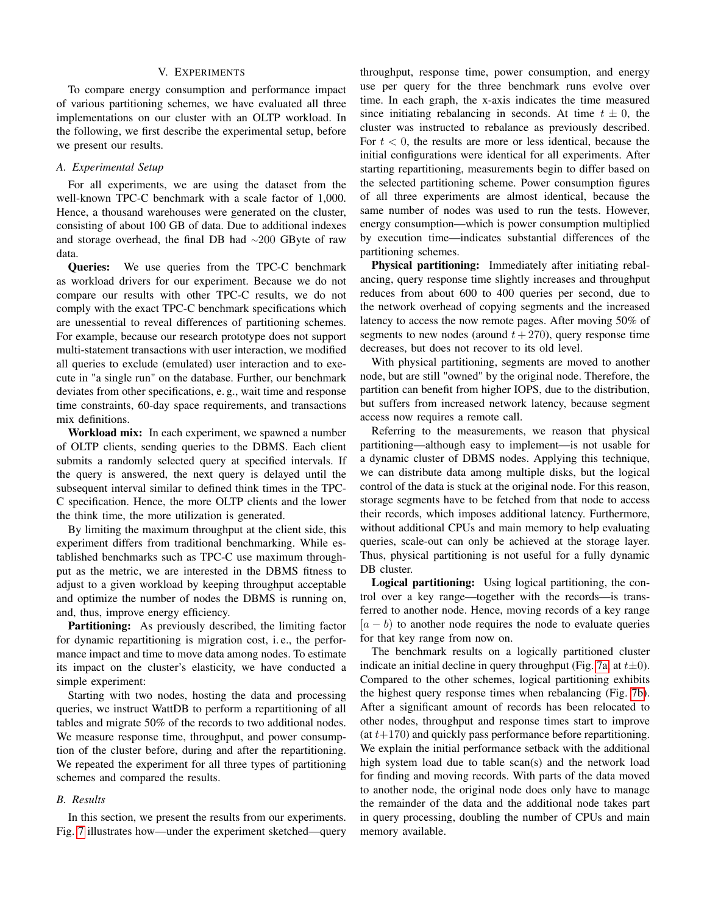#### V. EXPERIMENTS

<span id="page-8-0"></span>To compare energy consumption and performance impact of various partitioning schemes, we have evaluated all three implementations on our cluster with an OLTP workload. In the following, we first describe the experimental setup, before we present our results.

#### *A. Experimental Setup*

For all experiments, we are using the dataset from the well-known TPC-C benchmark with a scale factor of 1,000. Hence, a thousand warehouses were generated on the cluster, consisting of about 100 GB of data. Due to additional indexes and storage overhead, the final DB had <sup>∼</sup>200 GByte of raw data.

Queries: We use queries from the TPC-C benchmark as workload drivers for our experiment. Because we do not compare our results with other TPC-C results, we do not comply with the exact TPC-C benchmark specifications which are unessential to reveal differences of partitioning schemes. For example, because our research prototype does not support multi-statement transactions with user interaction, we modified all queries to exclude (emulated) user interaction and to execute in "a single run" on the database. Further, our benchmark deviates from other specifications, e. g., wait time and response time constraints, 60-day space requirements, and transactions mix definitions.

Workload mix: In each experiment, we spawned a number of OLTP clients, sending queries to the DBMS. Each client submits a randomly selected query at specified intervals. If the query is answered, the next query is delayed until the subsequent interval similar to defined think times in the TPC-C specification. Hence, the more OLTP clients and the lower the think time, the more utilization is generated.

By limiting the maximum throughput at the client side, this experiment differs from traditional benchmarking. While established benchmarks such as TPC-C use maximum throughput as the metric, we are interested in the DBMS fitness to adjust to a given workload by keeping throughput acceptable and optimize the number of nodes the DBMS is running on, and, thus, improve energy efficiency.

Partitioning: As previously described, the limiting factor for dynamic repartitioning is migration cost, i. e., the performance impact and time to move data among nodes. To estimate its impact on the cluster's elasticity, we have conducted a simple experiment:

Starting with two nodes, hosting the data and processing queries, we instruct WattDB to perform a repartitioning of all tables and migrate 50% of the records to two additional nodes. We measure response time, throughput, and power consumption of the cluster before, during and after the repartitioning. We repeated the experiment for all three types of partitioning schemes and compared the results.

# *B. Results*

In this section, we present the results from our experiments. Fig. [7](#page-9-0) illustrates how—under the experiment sketched—query

throughput, response time, power consumption, and energy use per query for the three benchmark runs evolve over time. In each graph, the x-axis indicates the time measured since initiating rebalancing in seconds. At time  $t \pm 0$ , the cluster was instructed to rebalance as previously described. For  $t < 0$ , the results are more or less identical, because the initial configurations were identical for all experiments. After starting repartitioning, measurements begin to differ based on the selected partitioning scheme. Power consumption figures of all three experiments are almost identical, because the same number of nodes was used to run the tests. However, energy consumption—which is power consumption multiplied by execution time—indicates substantial differences of the partitioning schemes.

Physical partitioning: Immediately after initiating rebalancing, query response time slightly increases and throughput reduces from about 600 to 400 queries per second, due to the network overhead of copying segments and the increased latency to access the now remote pages. After moving 50% of segments to new nodes (around  $t + 270$ ), query response time decreases, but does not recover to its old level.

With physical partitioning, segments are moved to another node, but are still "owned" by the original node. Therefore, the partition can benefit from higher IOPS, due to the distribution, but suffers from increased network latency, because segment access now requires a remote call.

Referring to the measurements, we reason that physical partitioning—although easy to implement—is not usable for a dynamic cluster of DBMS nodes. Applying this technique, we can distribute data among multiple disks, but the logical control of the data is stuck at the original node. For this reason, storage segments have to be fetched from that node to access their records, which imposes additional latency. Furthermore, without additional CPUs and main memory to help evaluating queries, scale-out can only be achieved at the storage layer. Thus, physical partitioning is not useful for a fully dynamic DB cluster.

Logical partitioning: Using logical partitioning, the control over a key range—together with the records—is transferred to another node. Hence, moving records of a key range  $[a - b]$  to another node requires the node to evaluate queries for that key range from now on.

The benchmark results on a logically partitioned cluster indicate an initial decline in query throughput (Fig. [7a,](#page-9-0) at  $t\pm 0$ ). Compared to the other schemes, logical partitioning exhibits the highest query response times when rebalancing (Fig. [7b\)](#page-9-0). After a significant amount of records has been relocated to other nodes, throughput and response times start to improve (at  $t+170$ ) and quickly pass performance before repartitioning. We explain the initial performance setback with the additional high system load due to table scan(s) and the network load for finding and moving records. With parts of the data moved to another node, the original node does only have to manage the remainder of the data and the additional node takes part in query processing, doubling the number of CPUs and main memory available.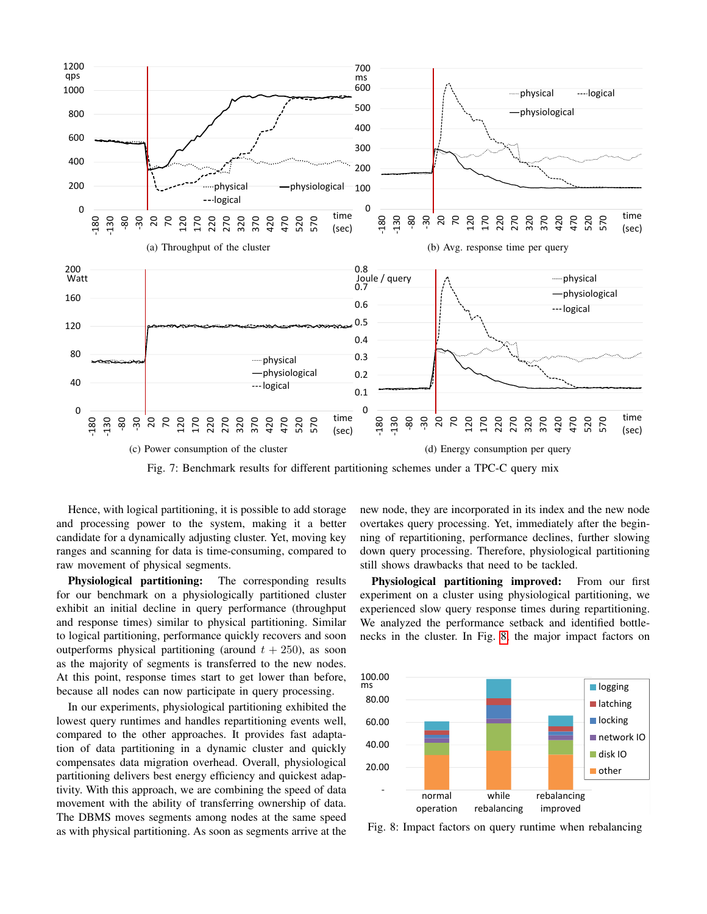<span id="page-9-0"></span>

Fig. 7: Benchmark results for different partitioning schemes under a TPC-C query mix

Hence, with logical partitioning, it is possible to add storage and processing power to the system, making it a better candidate for a dynamically adjusting cluster. Yet, moving key ranges and scanning for data is time-consuming, compared to raw movement of physical segments.

Physiological partitioning: The corresponding results for our benchmark on a physiologically partitioned cluster exhibit an initial decline in query performance (throughput and response times) similar to physical partitioning. Similar to logical partitioning, performance quickly recovers and soon outperforms physical partitioning (around  $t + 250$ ), as soon as the majority of segments is transferred to the new nodes. At this point, response times start to get lower than before, because all nodes can now participate in query processing.

In our experiments, physiological partitioning exhibited the lowest query runtimes and handles repartitioning events well, compared to the other approaches. It provides fast adaptation of data partitioning in a dynamic cluster and quickly compensates data migration overhead. Overall, physiological partitioning delivers best energy efficiency and quickest adaptivity. With this approach, we are combining the speed of data movement with the ability of transferring ownership of data. The DBMS moves segments among nodes at the same speed as with physical partitioning. As soon as segments arrive at the new node, they are incorporated in its index and the new node overtakes query processing. Yet, immediately after the beginning of repartitioning, performance declines, further slowing down query processing. Therefore, physiological partitioning still shows drawbacks that need to be tackled.

**Physiological partitioning improved:** From our first experiment on a cluster using physiological partitioning, we experienced slow query response times during repartitioning. We analyzed the performance setback and identified bottlenecks in the cluster. In Fig. [8,](#page-9-1) the major impact factors on

<span id="page-9-1"></span>

Fig. 8: Impact factors on query runtime when rebalancing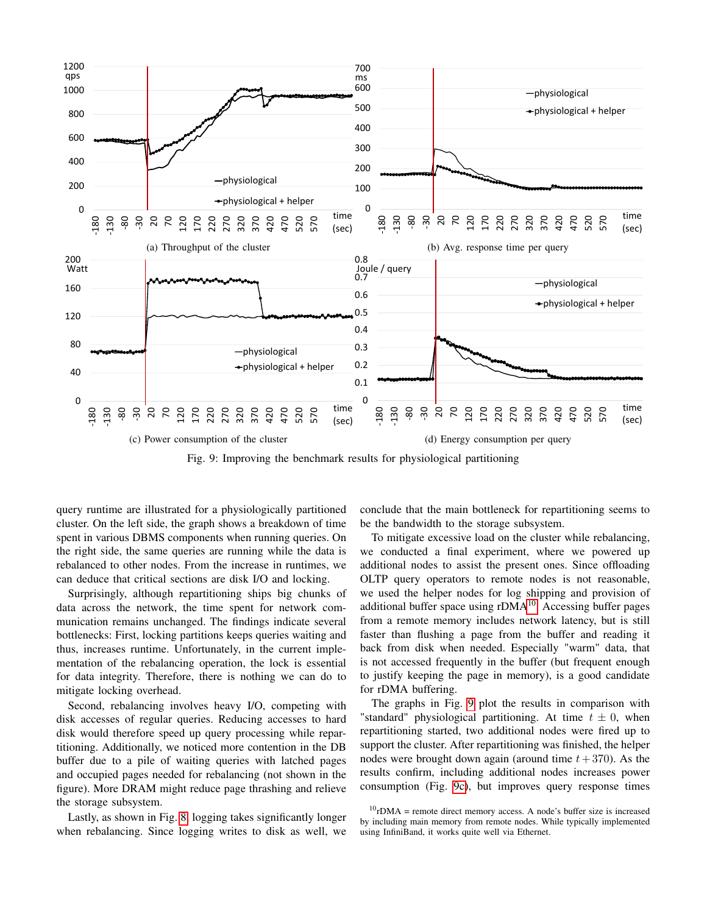<span id="page-10-1"></span>

Fig. 9: Improving the benchmark results for physiological partitioning

query runtime are illustrated for a physiologically partitioned cluster. On the left side, the graph shows a breakdown of time spent in various DBMS components when running queries. On the right side, the same queries are running while the data is rebalanced to other nodes. From the increase in runtimes, we can deduce that critical sections are disk I/O and locking.

Surprisingly, although repartitioning ships big chunks of data across the network, the time spent for network communication remains unchanged. The findings indicate several bottlenecks: First, locking partitions keeps queries waiting and thus, increases runtime. Unfortunately, in the current implementation of the rebalancing operation, the lock is essential for data integrity. Therefore, there is nothing we can do to mitigate locking overhead.

Second, rebalancing involves heavy I/O, competing with disk accesses of regular queries. Reducing accesses to hard disk would therefore speed up query processing while repartitioning. Additionally, we noticed more contention in the DB buffer due to a pile of waiting queries with latched pages and occupied pages needed for rebalancing (not shown in the figure). More DRAM might reduce page thrashing and relieve the storage subsystem.

Lastly, as shown in Fig. [8,](#page-9-1) logging takes significantly longer when rebalancing. Since logging writes to disk as well, we conclude that the main bottleneck for repartitioning seems to be the bandwidth to the storage subsystem.

To mitigate excessive load on the cluster while rebalancing, we conducted a final experiment, where we powered up additional nodes to assist the present ones. Since offloading OLTP query operators to remote nodes is not reasonable, we used the helper nodes for log shipping and provision of additional buffer space using  $rDMA^{10}$  $rDMA^{10}$  $rDMA^{10}$ . Accessing buffer pages from a remote memory includes network latency, but is still faster than flushing a page from the buffer and reading it back from disk when needed. Especially "warm" data, that is not accessed frequently in the buffer (but frequent enough to justify keeping the page in memory), is a good candidate for rDMA buffering.

The graphs in Fig. [9](#page-10-1) plot the results in comparison with "standard" physiological partitioning. At time  $t \pm 0$ , when repartitioning started, two additional nodes were fired up to support the cluster. After repartitioning was finished, the helper nodes were brought down again (around time  $t + 370$ ). As the results confirm, including additional nodes increases power consumption (Fig. [9c\)](#page-10-1), but improves query response times

<span id="page-10-0"></span> $10<sub>r</sub>$ DMA = remote direct memory access. A node's buffer size is increased by including main memory from remote nodes. While typically implemented using InfiniBand, it works quite well via Ethernet.